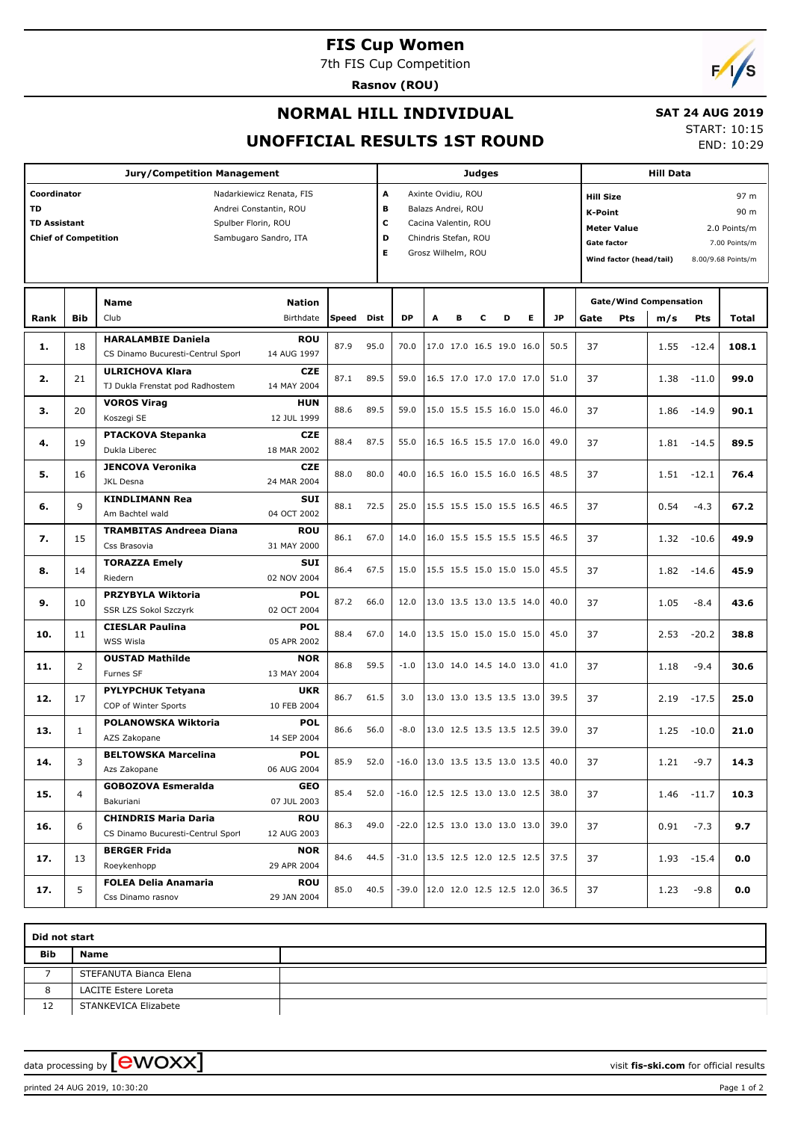## **FIS Cup Women**

7th FIS Cup Competition

**Rasnov (ROU)**



## **NORMAL HILL INDIVIDUAL**

#### **SAT 24 AUG 2019**

**UNOFFICIAL RESULTS 1ST ROUND**

START: 10:15 END: 10:29

|                                                                                                                                                                                      |                | <b>Judges</b>                                                    |                           |      |           |                                                                                                                                         |                                      |                                      |   | <b>Hill Data</b> |           |      |                                                                                                           |     |                               |               |                                                                     |
|--------------------------------------------------------------------------------------------------------------------------------------------------------------------------------------|----------------|------------------------------------------------------------------|---------------------------|------|-----------|-----------------------------------------------------------------------------------------------------------------------------------------|--------------------------------------|--------------------------------------|---|------------------|-----------|------|-----------------------------------------------------------------------------------------------------------|-----|-------------------------------|---------------|---------------------------------------------------------------------|
| Coordinator<br>Nadarkiewicz Renata, FIS<br><b>TD</b><br>Andrei Constantin, ROU<br><b>TD Assistant</b><br>Spulber Florin, ROU<br><b>Chief of Competition</b><br>Sambugaro Sandro, ITA |                |                                                                  |                           |      |           | A<br>Axinte Ovidiu, ROU<br>в<br>Balazs Andrei, ROU<br>c<br>Cacina Valentin, ROU<br>D<br>Chindris Stefan, ROU<br>Е<br>Grosz Wilhelm, ROU |                                      |                                      |   |                  |           |      | <b>Hill Size</b><br><b>K-Point</b><br><b>Meter Value</b><br><b>Gate factor</b><br>Wind factor (head/tail) |     |                               |               | 97 m<br>90 m<br>2.0 Points/m<br>7.00 Points/m<br>8.00/9.68 Points/m |
|                                                                                                                                                                                      |                | Name                                                             | <b>Nation</b>             |      |           |                                                                                                                                         |                                      |                                      |   |                  |           |      |                                                                                                           |     | <b>Gate/Wind Compensation</b> |               |                                                                     |
| Rank                                                                                                                                                                                 | <b>Bib</b>     | Club                                                             | <b>Speed</b>              | Dist | <b>DP</b> | A                                                                                                                                       | в                                    | c                                    | D | Е                | <b>JP</b> | Gate | Pts                                                                                                       | m/s | Pts                           | Total         |                                                                     |
| 1.                                                                                                                                                                                   | 18             | <b>HARALAMBIE Daniela</b><br>CS Dinamo Bucuresti-Centrul Sport   | ROU<br>14 AUG 1997        | 87.9 | 95.0      | 70.0                                                                                                                                    |                                      | 17.0 17.0 16.5 19.0 16.0             |   |                  |           | 50.5 | 37                                                                                                        |     | 1.55                          | $-12.4$       | 108.1                                                               |
| 2.                                                                                                                                                                                   | 21             | <b>ULRICHOVA Klara</b><br>TJ Dukla Frenstat pod Radhostem        | <b>CZE</b><br>14 MAY 2004 | 87.1 | 89.5      | 59.0                                                                                                                                    |                                      | 16.5 17.0 17.0 17.0 17.0             |   |                  |           | 51.0 | 37                                                                                                        |     | 1.38                          | $-11.0$       | 99.0                                                                |
| з.                                                                                                                                                                                   | 20             | <b>VOROS Virag</b><br>Koszegi SE                                 | <b>HUN</b><br>12 JUL 1999 | 88.6 | 89.5      | 59.0                                                                                                                                    |                                      | 15.0 15.5 15.5 16.0 15.0             |   |                  |           | 46.0 | 37                                                                                                        |     | 1.86                          | $-14.9$       | 90.1                                                                |
| 4.                                                                                                                                                                                   | 19             | <b>PTACKOVA Stepanka</b><br>Dukla Liberec                        | <b>CZE</b><br>18 MAR 2002 | 88.4 | 87.5      | 55.0                                                                                                                                    |                                      | 16.5 16.5 15.5 17.0 16.0             |   |                  |           | 49.0 | 37                                                                                                        |     | 1.81                          | $-14.5$       | 89.5                                                                |
| 5.                                                                                                                                                                                   | 16             | <b>JENCOVA Veronika</b><br><b>JKL Desna</b>                      | <b>CZE</b><br>24 MAR 2004 | 88.0 | 80.0      | 40.0                                                                                                                                    |                                      | 16.5 16.0 15.5 16.0 16.5             |   |                  |           | 48.5 | 37                                                                                                        |     | 1.51                          | $-12.1$       | 76.4                                                                |
| 6.                                                                                                                                                                                   | 9              | <b>KINDLIMANN Rea</b><br>Am Bachtel wald                         | <b>SUI</b><br>04 OCT 2002 | 88.1 | 72.5      | 25.0                                                                                                                                    |                                      | 15.5 15.5 15.0 15.5 16.5             |   |                  |           | 46.5 | 37                                                                                                        |     | 0.54                          | $-4.3$        | 67.2                                                                |
| 7.                                                                                                                                                                                   | 15             | <b>TRAMBITAS Andreea Diana</b><br>Css Brasovia                   | ROU<br>31 MAY 2000        | 86.1 | 67.0      | 14.0                                                                                                                                    |                                      | 16.0 15.5 15.5 15.5 15.5             |   |                  |           | 46.5 | 37                                                                                                        |     | 1.32                          | $-10.6$       | 49.9                                                                |
| 8.                                                                                                                                                                                   | 14             | <b>TORAZZA Emely</b><br>Riedern                                  | <b>SUI</b><br>02 NOV 2004 | 86.4 | 67.5      | 15.0                                                                                                                                    |                                      | 15.5 15.5 15.0 15.0 15.0             |   |                  |           | 45.5 | 37                                                                                                        |     | 1.82                          | $-14.6$       | 45.9                                                                |
| 9.                                                                                                                                                                                   | 10             | PRZYBYLA Wiktoria<br>SSR LZS Sokol Szczyrk                       | <b>POL</b><br>02 OCT 2004 | 87.2 | 66.0      | 12.0                                                                                                                                    |                                      | 13.0 13.5 13.0 13.5 14.0             |   |                  |           | 40.0 | 37                                                                                                        |     | 1.05                          | $-8.4$        | 43.6                                                                |
| 10.                                                                                                                                                                                  | 11             | <b>CIESLAR Paulina</b><br>WSS Wisla                              | <b>POL</b><br>05 APR 2002 | 88.4 | 67.0      | 14.0                                                                                                                                    |                                      | 13.5 15.0 15.0 15.0 15.0             |   |                  |           | 45.0 | 37                                                                                                        |     | 2.53                          | $-20.2$       | 38.8                                                                |
| 11.                                                                                                                                                                                  | $\overline{2}$ | <b>OUSTAD Mathilde</b><br>Furnes SF                              | <b>NOR</b><br>13 MAY 2004 | 86.8 | 59.5      | $-1.0$                                                                                                                                  |                                      | 13.0 14.0 14.5 14.0 13.0             |   |                  |           | 41.0 | 37                                                                                                        |     | 1.18                          | $-9.4$        | 30.6                                                                |
| 12.                                                                                                                                                                                  | 17             | <b>PYLYPCHUK Tetyana</b><br>COP of Winter Sports                 | <b>UKR</b><br>10 FEB 2004 | 86.7 | 61.5      | 3.0                                                                                                                                     |                                      | 13.0 13.0 13.5 13.5 13.0             |   |                  |           | 39.5 | 37                                                                                                        |     | 2.19                          | $-17.5$       | 25.0                                                                |
| 13.                                                                                                                                                                                  | $\mathbf{1}$   | POLANOWSKA Wiktoria<br>AZS Zakopane                              | <b>POL</b><br>14 SEP 2004 | 86.6 | 56.0      | $-8.0$                                                                                                                                  |                                      | 13.0 12.5 13.5 13.5 12.5             |   |                  |           | 39.0 | 37                                                                                                        |     | 1.25                          | $-10.0$       | 21.0                                                                |
| 14.                                                                                                                                                                                  | 3              | <b>BELTOWSKA Marcelina</b><br>Azs Zakopane                       | <b>POL</b><br>06 AUG 2004 | 85.9 | 52.0      | $-16.0$   13.0 13.5 13.5 13.0 13.5                                                                                                      |                                      |                                      |   |                  |           | 40.0 | 37                                                                                                        |     | 1.21                          | $-9.7$        | 14.3                                                                |
| 15.                                                                                                                                                                                  | $\overline{4}$ | <b>GOBOZOVA Esmeralda</b><br>Bakuriani                           | GEO<br>07 JUL 2003        | 85.4 | 52.0      | $-16.0$                                                                                                                                 | $ 12.5 \t12.5 \t13.0 \t13.0 \t12.5 $ |                                      |   |                  |           | 38.0 | 37                                                                                                        |     |                               | $1.46 - 11.7$ | 10.3                                                                |
| 16.                                                                                                                                                                                  | 6              | <b>CHINDRIS Maria Daria</b><br>CS Dinamo Bucuresti-Centrul Sport | <b>ROU</b><br>12 AUG 2003 | 86.3 | 49.0      | $-22.0$                                                                                                                                 | 12.5 13.0 13.0 13.0 13.0             |                                      |   |                  |           | 39.0 | 37                                                                                                        |     | 0.91                          | $-7.3$        | 9.7                                                                 |
| 17.                                                                                                                                                                                  | 13             | <b>BERGER Frida</b><br>Roeykenhopp                               | <b>NOR</b><br>29 APR 2004 | 84.6 | 44.5      | $-31.0$                                                                                                                                 |                                      | 13.5 12.5 12.0 12.5 12.5             |   |                  |           | 37.5 | 37                                                                                                        |     |                               | $1.93 - 15.4$ | 0.0                                                                 |
| 17.                                                                                                                                                                                  | 5              | <b>FOLEA Delia Anamaria</b><br>Css Dinamo rasnov                 | <b>ROU</b><br>29 JAN 2004 | 85.0 | 40.5      | $-39.0$                                                                                                                                 |                                      | $ 12.0 \t12.0 \t12.5 \t12.5 \t12.0 $ |   |                  |           | 36.5 | 37                                                                                                        |     | 1.23                          | $-9.8$        | 0.0                                                                 |

| Did not start |                        |  |  |  |  |  |  |  |  |
|---------------|------------------------|--|--|--|--|--|--|--|--|
| <b>Bib</b>    | Name                   |  |  |  |  |  |  |  |  |
|               | STEFANUTA Bianca Elena |  |  |  |  |  |  |  |  |
|               | LACITE Estere Loreta   |  |  |  |  |  |  |  |  |
| 12            | STANKEVICA Elizabete   |  |  |  |  |  |  |  |  |

data processing by **CWOXX**  $\blacksquare$